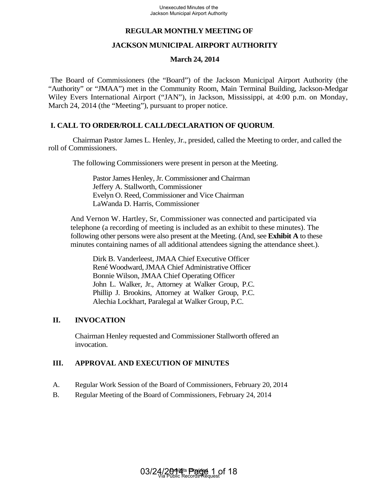## **REGULAR MONTHLY MEETING OF**

## **JACKSON MUNICIPAL AIRPORT AUTHORITY**

#### **March 24, 2014**

The Board of Commissioners (the "Board") of the Jackson Municipal Airport Authority (the "Authority" or "JMAA") met in the Community Room, Main Terminal Building, Jackson-Medgar Wiley Evers International Airport ("JAN"), in Jackson, Mississippi, at 4:00 p.m. on Monday, March 24, 2014 (the "Meeting"), pursuant to proper notice.

### **I. CALL TO ORDER/ROLL CALL/DECLARATION OF QUORUM**.

Chairman Pastor James L. Henley, Jr., presided, called the Meeting to order, and called the roll of Commissioners.

The following Commissioners were present in person at the Meeting.

Pastor James Henley, Jr. Commissioner and Chairman Jeffery A. Stallworth, Commissioner Evelyn O. Reed, Commissioner and Vice Chairman LaWanda D. Harris, Commissioner

And Vernon W. Hartley, Sr, Commissioner was connected and participated via telephone (a recording of meeting is included as an exhibit to these minutes). The following other persons were also present at the Meeting. (And, see **Exhibit A** to these minutes containing names of all additional attendees signing the attendance sheet.).

Dirk B. Vanderleest, JMAA Chief Executive Officer René Woodward, JMAA Chief Administrative Officer Bonnie Wilson, JMAA Chief Operating Officer John L. Walker, Jr., Attorney at Walker Group, P.C. Phillip J. Brookins, Attorney at Walker Group, P.C. Alechia Lockhart, Paralegal at Walker Group, P.C. Uncecuted Minutes of the<br>
Jackson Municipal Airport Authority<br>
IULAR MONTHLY MEETING<br>
IVICUTE ALONTHITY MEETING<br>
TON MUNICIPAL AIRPORT A<br>
"March 24, 2014<br>
To March 24, 2014<br>
To March 24, 2014<br>
To March 24, 2014<br>
"A March 2

### **II. INVOCATION**

 Chairman Henley requested and Commissioner Stallworth offered an invocation.

### **III. APPROVAL AND EXECUTION OF MINUTES**

- A. Regular Work Session of the Board of Commissioners, February 20, 2014
- B. Regular Meeting of the Board of Commissioners, February 24, 2014

**Exhibits Proxided** Via Public Records Request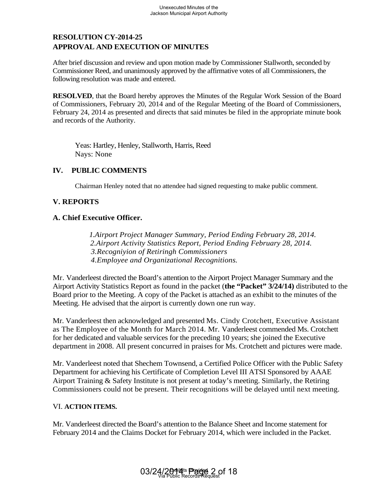# **RESOLUTION CY-2014-25 APPROVAL AND EXECUTION OF MINUTES**

After brief discussion and review and upon motion made by Commissioner Stallworth, seconded by Commissioner Reed, and unanimously approved by the affirmative votes of all Commissioners, the following resolution was made and entered.

 **RESOLVED**, that the Board hereby approves the Minutes of the Regular Work Session of the Board of Commissioners, February 20, 2014 and of the Regular Meeting of the Board of Commissioners, February 24, 2014 as presented and directs that said minutes be filed in the appropriate minute book and records of the Authority.

Yeas: Hartley, Henley, Stallworth, Harris, Reed Nays: None

## **IV. PUBLIC COMMENTS**

Chairman Henley noted that no attendee had signed requesting to make public comment.

### **V. REPORTS**

#### **A. Chief Executive Officer.**

 *1.Airport Project Manager Summary, Period Ending February 28, 2014. 2.Airport Activity Statistics Report, Period Ending February 28, 2014. 3.Recogniyion of Retiringh Commissioners 4.Employee and Organizational Recognitions.*

Mr. Vanderleest directed the Board's attention to the Airport Project Manager Summary and the Airport Activity Statistics Report as found in the packet (**the "Packet" 3/24/14)** distributed to the Board prior to the Meeting. A copy of the Packet is attached as an exhibit to the minutes of the Meeting. He advised that the airport is currently down one run way.

Mr. Vanderleest then acknowledged and presented Ms. Cindy Crotchett, Executive Assistant as The Employee of the Month for March 2014. Mr. Vanderleest commended Ms. Crotchett for her dedicated and valuable services for the preceding 10 years; she joined the Executive department in 2008. All present concurred in praises for Ms. Crotchett and pictures were made.

Mr. Vanderleest noted that Shechem Townsend, a Certified Police Officer with the Public Safety Department for achieving his Certificate of Completion Level III ATSI Sponsored by AAAE Airport Training & Safety Institute is not present at today's meeting. Similarly, the Retiring Commissioners could not be present. Their recognitions will be delayed until next meeting. Unexecuted Minutes of the<br>Jackson Municipal Airport Authority<br>
5<br>
TION OF MINUTES<br>
w and upon motion made by Comm<br>
mously approved by the affirmative<br>
and entered.<br>
0., 2014 and of the Regular Mectic<br>
d and directs that sa

#### VI. **ACTION ITEMS.**

Mr. Vanderleest directed the Board's attention to the Balance Sheet and Income statement for February 2014 and the Claims Docket for February 2014, which were included in the Packet.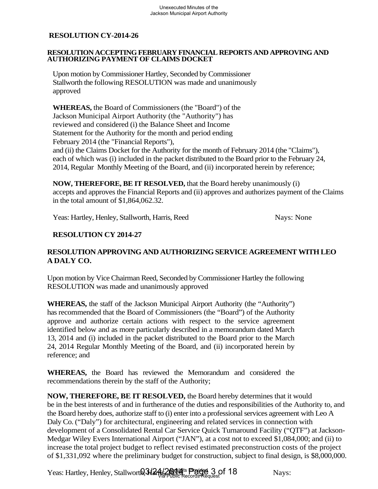#### **RESOLUTION ACCEPTING FEBRUARY FINANCIAL REPORTS AND APPROVING AND AUTHORIZING PAYMENT OF CLAIMS DOCKET**

 Upon motion by Commissioner Hartley, Seconded by Commissioner Stallworth the following RESOLUTION was made and unanimously approved

 **WHEREAS,** the Board of Commissioners (the "Board") of the Jackson Municipal Airport Authority (the "Authority") has reviewed and considered (i) the Balance Sheet and Income Statement for the Authority for the month and period ending February 2014 (the "Financial Reports"),

 and (ii) the Claims Docket for the Authority for the month of February 2014 (the "Claims"), each of which was (i) included in the packet distributed to the Board prior to the February 24, 2014, Regular Monthly Meeting of the Board, and (ii) incorporated herein by reference;

**NOW, THEREFORE, BE IT RESOLVED,** that the Board hereby unanimously (i) accepts and approves the Financial Reports and (ii) approves and authorizes payment of the Claims in the total amount of \$1,864,062.32.

Yeas: Hartley, Henley, Stallworth, Harris, Reed Nays: None

### **RESOLUTION CY 2014-27**

### **RESOLUTION APPROVING AND AUTHORIZING SERVICE AGREEMENT WITH LEO A DALY CO.**

Upon motion by Vice Chairman Reed, Seconded by Commissioner Hartley the following RESOLUTION was made and unanimously approved

**WHEREAS,** the staff of the Jackson Municipal Airport Authority (the "Authority") has recommended that the Board of Commissioners (the "Board") of the Authority approve and authorize certain actions with respect to the service agreement identified below and as more particularly described in a memorandum dated March 13, 2014 and (i) included in the packet distributed to the Board prior to the March 24, 2014 Regular Monthly Meeting of the Board, and (ii) incorporated herein by reference; and

**WHEREAS,** the Board has reviewed the Memorandum and considered the recommendations therein by the staff of the Authority;

**NOW, THEREFORE, BE IT RESOLVED,** the Board hereby determines that it would be in the best interests of and in furtherance of the duties and responsibilities of the Authority to, and the Board hereby does, authorize staff to (i) enter into a professional services agreement with Leo A Daly Co. ("Daly") for architectural, engineering and related services in connection with development of a Consolidated Rental Car Service Quick Turnaround Facility ("QTF") at Jackson-Medgar Wiley Evers International Airport ("JAN"), at a cost not to exceed \$1,084,000; and (ii) to increase the total project budget to reflect revised estimated preconstruction costs of the project of \$1,331,092 where the preliminary budget for construction, subject to final design, is \$8,000,000.

Yeas: Hartley, Henley, Stallworth, 3124/2014 Project 3 of 18 Via Public Records Request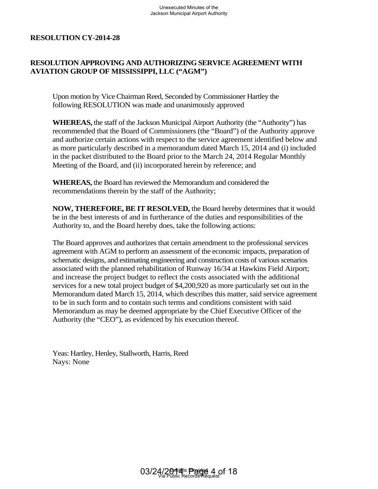## **RESOLUTION APPROVING AND AUTHORIZING SERVICE AGREEMENT WITH AVIATION GROUP OF MISSISSIPPI, LLC ("AGM")**

Upon motion by Vice Chairman Reed, Seconded by Commissioner Hartley the following RESOLUTION was made and unanimously approved

**WHEREAS,** the staff of the Jackson Municipal Airport Authority (the "Authority") has recommended that the Board of Commissioners (the "Board") of the Authority approve and authorize certain actions with respect to the service agreement identified below and as more particularly described in a memorandum dated March 15, 2014 and (i) included in the packet distributed to the Board prior to the March 24, 2014 Regular Monthly Meeting of the Board, and (ii) incorporated herein by reference; and

**WHEREAS,** the Board has reviewed the Memorandum and considered the recommendations therein by the staff of the Authority;

**NOW, THEREFORE, BE IT RESOLVED,** the Board hereby determines that it would be in the best interests of and in furtherance of the duties and responsibilities of the Authority to, and the Board hereby does, take the following actions:

The Board approves and authorizes that certain amendment to the professional services agreement with AGM to perform an assessment of the economic impacts, preparation of schematic designs, and estimating engineering and construction costs of various scenarios associated with the planned rehabilitation of Runway 16/34 at Hawkins Field Airport; and increase the project budget to reflect the costs associated with the additional services for a new total project budget of \$4,200,920 as more particularly set out in the Memorandum dated March 15, 2014, which describes this matter, said service agreement to be in such form and to contain such terms and conditions consistent with said Memorandum as may be deemed appropriate by the Chief Executive Officer of the Authority (the "CEO"), as evidenced by his execution thereof. Unexecuted Minutes of the<br>Jackson Municipal Airport Authority<br>Jackson Municipal Airport Authority<br>IPPI, LLC ("AGM")<br>an Reed, Seconded by Commissions smade and unanimously approve<br>ackson Municipal Airport Authority<br>of Commi

Yeas: Hartley, Henley, Stallworth, Harris, Reed Nays: None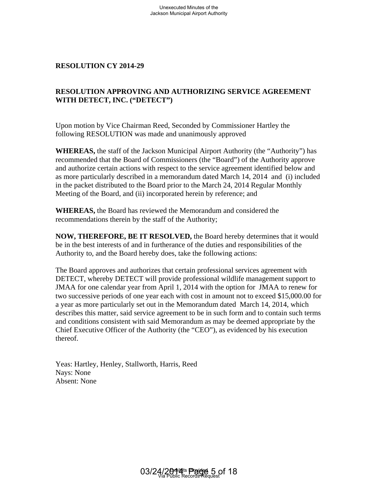## **RESOLUTION APPROVING AND AUTHORIZING SERVICE AGREEMENT WITH DETECT, INC. ("DETECT")**

Upon motion by Vice Chairman Reed, Seconded by Commissioner Hartley the following RESOLUTION was made and unanimously approved

**WHEREAS,** the staff of the Jackson Municipal Airport Authority (the "Authority") has recommended that the Board of Commissioners (the "Board") of the Authority approve and authorize certain actions with respect to the service agreement identified below and as more particularly described in a memorandum dated March 14, 2014 and (i) included in the packet distributed to the Board prior to the March 24, 2014 Regular Monthly Meeting of the Board, and (ii) incorporated herein by reference; and

**WHEREAS,** the Board has reviewed the Memorandum and considered the recommendations therein by the staff of the Authority;

**NOW, THEREFORE, BE IT RESOLVED,** the Board hereby determines that it would be in the best interests of and in furtherance of the duties and responsibilities of the Authority to, and the Board hereby does, take the following actions:

The Board approves and authorizes that certain professional services agreement with DETECT, whereby DETECT will provide professional wildlife management support to JMAA for one calendar year from April 1, 2014 with the option for JMAA to renew for two successive periods of one year each with cost in amount not to exceed \$15,000.00 for a year as more particularly set out in the Memorandum dated March 14, 2014, which describes this matter, said service agreement to be in such form and to contain such terms and conditions consistent with said Memorandum as may be deemed appropriate by the Chief Executive Officer of the Authority (the "CEO"), as evidenced by his execution thereof. Unexecuted Minutes of the<br>Jackson Municipal Airport Authority<br>**NG AND AUTHORIZING SE**<br>**ETECT"**)<br>man Reed, Seconded by Commiss<br>as made and unanimously approv<br>Jackson Municipal Airport Auth<br>of Commissioners (the "Board"<br>with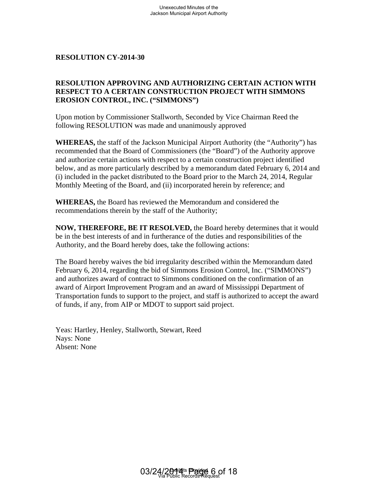### **RESOLUTION APPROVING AND AUTHORIZING CERTAIN ACTION WITH RESPECT TO A CERTAIN CONSTRUCTION PROJECT WITH SIMMONS EROSION CONTROL, INC. ("SIMMONS")**

Upon motion by Commissioner Stallworth, Seconded by Vice Chairman Reed the following RESOLUTION was made and unanimously approved

**WHEREAS,** the staff of the Jackson Municipal Airport Authority (the "Authority") has recommended that the Board of Commissioners (the "Board") of the Authority approve and authorize certain actions with respect to a certain construction project identified below, and as more particularly described by a memorandum dated February 6, 2014 and (i) included in the packet distributed to the Board prior to the March 24, 2014, Regular Monthly Meeting of the Board, and (ii) incorporated herein by reference; and

**WHEREAS,** the Board has reviewed the Memorandum and considered the recommendations therein by the staff of the Authority;

**NOW, THEREFORE, BE IT RESOLVED,** the Board hereby determines that it would be in the best interests of and in furtherance of the duties and responsibilities of the Authority, and the Board hereby does, take the following actions:

The Board hereby waives the bid irregularity described within the Memorandum dated February 6, 2014, regarding the bid of Simmons Erosion Control, Inc. ("SIMMONS") and authorizes award of contract to Simmons conditioned on the confirmation of an award of Airport Improvement Program and an award of Mississippi Department of Transportation funds to support to the project, and staff is authorized to accept the award of funds, if any, from AIP or MDOT to support said project. Unexecuted Minutes of the<br>Jackson Municipal Airport Authority<br>
OCONSTRUCTION PROJEC<br>
C. ("SIMMONS")<br>
ner Stallworth, Seconded by Vice<br>
as made and unanimously approv<br>
Jackson Municipal Airport Author<br>
of Commissioners (the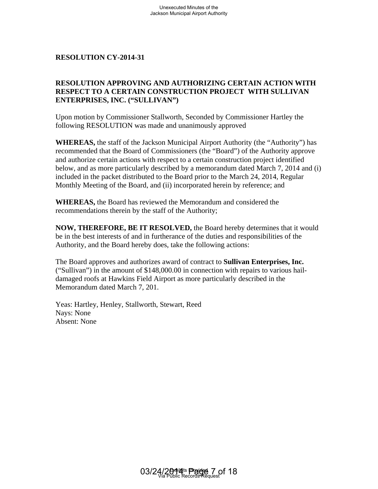## **RESOLUTION APPROVING AND AUTHORIZING CERTAIN ACTION WITH RESPECT TO A CERTAIN CONSTRUCTION PROJECT WITH SULLIVAN ENTERPRISES, INC. ("SULLIVAN")**

Upon motion by Commissioner Stallworth, Seconded by Commissioner Hartley the following RESOLUTION was made and unanimously approved

**WHEREAS,** the staff of the Jackson Municipal Airport Authority (the "Authority") has recommended that the Board of Commissioners (the "Board") of the Authority approve and authorize certain actions with respect to a certain construction project identified below, and as more particularly described by a memorandum dated March 7, 2014 and (i) included in the packet distributed to the Board prior to the March 24, 2014, Regular Monthly Meeting of the Board, and (ii) incorporated herein by reference; and Unexecuted Minutes of the<br>Jackson Municipal Airport Authority<br>
NG AND AUTHORIZING CE<br>
N CONSTRUCTION PROJEC<br>
TRICONSTRUCTION PROJEC<br>
TRICONSTRUCTION PROJEC<br>
as made and unanimously approvided to the Minicipal Airport Autho

**WHEREAS,** the Board has reviewed the Memorandum and considered the recommendations therein by the staff of the Authority;

**NOW, THEREFORE, BE IT RESOLVED,** the Board hereby determines that it would be in the best interests of and in furtherance of the duties and responsibilities of the Authority, and the Board hereby does, take the following actions:

The Board approves and authorizes award of contract to **Sullivan Enterprises, Inc.**  ("Sullivan") in the amount of \$148,000.00 in connection with repairs to various haildamaged roofs at Hawkins Field Airport as more particularly described in the Memorandum dated March 7, 201.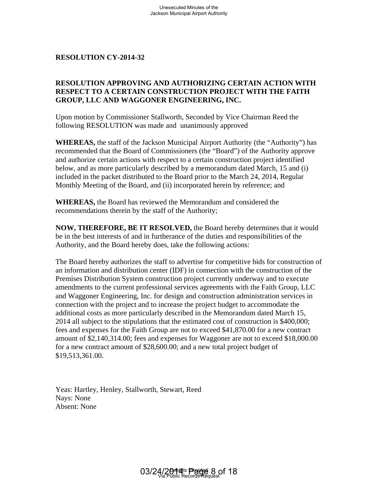### **RESOLUTION APPROVING AND AUTHORIZING CERTAIN ACTION WITH RESPECT TO A CERTAIN CONSTRUCTION PROJECT WITH THE FAITH GROUP, LLC AND WAGGONER ENGINEERING, INC.**

Upon motion by Commissioner Stallworth, Seconded by Vice Chairman Reed the following RESOLUTION was made and unanimously approved

**WHEREAS,** the staff of the Jackson Municipal Airport Authority (the "Authority") has recommended that the Board of Commissioners (the "Board") of the Authority approve and authorize certain actions with respect to a certain construction project identified below, and as more particularly described by a memorandum dated March, 15 and (i) included in the packet distributed to the Board prior to the March 24, 2014, Regular Monthly Meeting of the Board, and (ii) incorporated herein by reference; and

**WHEREAS,** the Board has reviewed the Memorandum and considered the recommendations therein by the staff of the Authority;

**NOW, THEREFORE, BE IT RESOLVED,** the Board hereby determines that it would be in the best interests of and in furtherance of the duties and responsibilities of the Authority, and the Board hereby does, take the following actions:

The Board hereby authorizes the staff to advertise for competitive bids for construction of an information and distribution center (IDF) in connection with the construction of the Premises Distribution System construction project currently underway and to execute amendments to the current professional services agreements with the Faith Group, LLC and Waggoner Engineering, Inc. for design and construction administration services in connection with the project and to increase the project budget to accommodate the additional costs as more particularly described in the Memorandum dated March 15, 2014 all subject to the stipulations that the estimated cost of construction is \$400,000; fees and expenses for the Faith Group are not to exceed \$41,870.00 for a new contract amount of \$2,140,314.00; fees and expenses for Waggoner are not to exceed \$18,000.00 for a new contract amount of \$28,600.00; and a new total project budget of \$19,513,361.00. Unexecuted Minutes of the<br>Jackson Municipal Airport Authority<br>NG AND AUTHORIZING CE<br>N CONSTRUCTION PROJEC<br>GONER ENGINEERING, INC<br>as made and unanimously approved as made and unanimously approved as made and unanimously app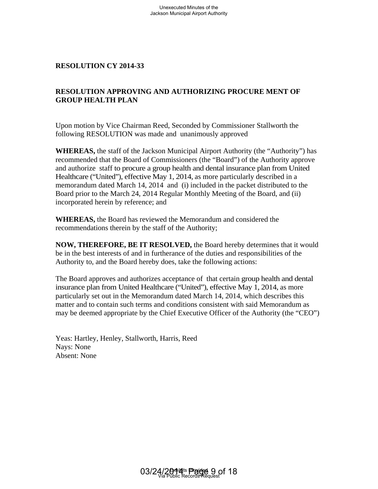## **RESOLUTION APPROVING AND AUTHORIZING PROCURE MENT OF GROUP HEALTH PLAN**

Upon motion by Vice Chairman Reed, Seconded by Commissioner Stallworth the following RESOLUTION was made and unanimously approved

**WHEREAS,** the staff of the Jackson Municipal Airport Authority (the "Authority") has recommended that the Board of Commissioners (the "Board") of the Authority approve and authorize staff to procure a group health and dental insurance plan from United Healthcare ("United"), effective May 1, 2014, as more particularly described in a memorandum dated March 14, 2014 and (i) included in the packet distributed to the Board prior to the March 24, 2014 Regular Monthly Meeting of the Board, and (ii) incorporated herein by reference; and Unexecuted Minutes of the<br>Jackson Municipal Airport Authority<br>ackson Municipal Airport Authority<br>sa made and unanimously appro<br>Jackson Municipal Airport Author<br>of Commissioners (the "Board"<br>cive vera group health and denta

**WHEREAS,** the Board has reviewed the Memorandum and considered the recommendations therein by the staff of the Authority;

**NOW, THEREFORE, BE IT RESOLVED,** the Board hereby determines that it would be in the best interests of and in furtherance of the duties and responsibilities of the Authority to, and the Board hereby does, take the following actions:

The Board approves and authorizes acceptance of that certain group health and dental insurance plan from United Healthcare ("United"), effective May 1, 2014, as more particularly set out in the Memorandum dated March 14, 2014, which describes this matter and to contain such terms and conditions consistent with said Memorandum as may be deemed appropriate by the Chief Executive Officer of the Authority (the "CEO")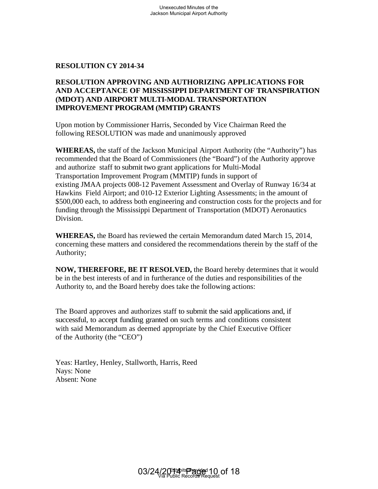#### **RESOLUTION APPROVING AND AUTHORIZING APPLICATIONS FOR AND ACCEPTANCE OF MISSISSIPPI DEPARTMENT OF TRANSPIRATION (MDOT) AND AIRPORT MULTI-MODAL TRANSPORTATION IMPROVEMENT PROGRAM (MMTIP) GRANTS**

Upon motion by Commissioner Harris, Seconded by Vice Chairman Reed the following RESOLUTION was made and unanimously approved

**WHEREAS,** the staff of the Jackson Municipal Airport Authority (the "Authority") has recommended that the Board of Commissioners (the "Board") of the Authority approve and authorize staff to submit two grant applications for Multi-Modal Transportation Improvement Program (MMTIP) funds in support of existing JMAA projects 008-12 Pavement Assessment and Overlay of Runway 16/34 at Hawkins Field Airport; and 010-12 Exterior Lighting Assessments; in the amount of \$500,000 each, to address both engineering and construction costs for the projects and for funding through the Mississippi Department of Transportation (MDOT) Aeronautics Division. Unexecuted Minutes of the<br>
Jackson Municipal Airport Authority<br> **EMISSISDEPT DEPARTMENT<br>
MULTI-MODAL TRANSPORT<br>
MULTI-MODAL TRANSPORT<br>
MULTI-MODAL TRANSPORT<br>
MULTI-MODAL TRANSPORT<br>
MULTI-MODAL TRANSPORT<br>
MULTI-MODAL TRANSP** 

**WHEREAS,** the Board has reviewed the certain Memorandum dated March 15, 2014, concerning these matters and considered the recommendations therein by the staff of the Authority;

**NOW, THEREFORE, BE IT RESOLVED,** the Board hereby determines that it would be in the best interests of and in furtherance of the duties and responsibilities of the Authority to, and the Board hereby does take the following actions:

The Board approves and authorizes staff to submit the said applications and, if successful, to accept funding granted on such terms and conditions consistent with said Memorandum as deemed appropriate by the Chief Executive Officer of the Authority (the "CEO")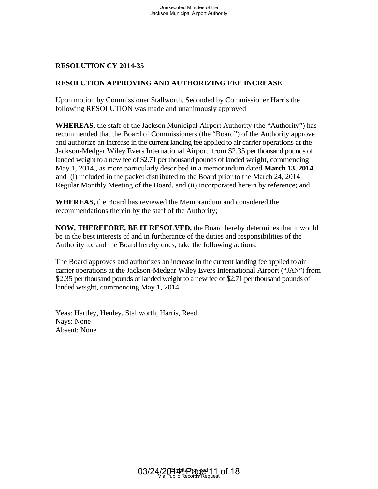#### **RESOLUTION APPROVING AND AUTHORIZING FEE INCREASE**

Upon motion by Commissioner Stallworth, Seconded by Commissioner Harris the following RESOLUTION was made and unanimously approved

**WHEREAS,** the staff of the Jackson Municipal Airport Authority (the "Authority") has recommended that the Board of Commissioners (the "Board") of the Authority approve and authorize an increase in the current landing fee applied to air carrier operations at the Jackson-Medgar Wiley Evers International Airport from \$2.35 per thousand pounds of landed weight to a new fee of \$2.71 per thousand pounds of landed weight, commencing May 1, 2014., as more particularly described in a memorandum dated **March 13, 2014 a**nd (i) included in the packet distributed to the Board prior to the March 24, 2014 Regular Monthly Meeting of the Board, and (ii) incorporated herein by reference; and Unexecuted Minutes of the<br>
Jackson Municipal Airport Authorty<br>
DING AND AUTHORIZING FEE<br>
DINE Stallworth, Seconded by Com<br>
are Stallworth, Seconded by Commentation<br>
and an original Airport Author<br>
the Curemissioners (the "

**WHEREAS,** the Board has reviewed the Memorandum and considered the recommendations therein by the staff of the Authority;

**NOW, THEREFORE, BE IT RESOLVED,** the Board hereby determines that it would be in the best interests of and in furtherance of the duties and responsibilities of the Authority to, and the Board hereby does, take the following actions:

The Board approves and authorizes an increase in the current landing fee applied to air carrier operations at the Jackson-Medgar Wiley Evers International Airport ("JAN") from \$2.35 per thousand pounds of landed weight to a new fee of \$2.71 per thousand pounds of landed weight, commencing May 1, 2014.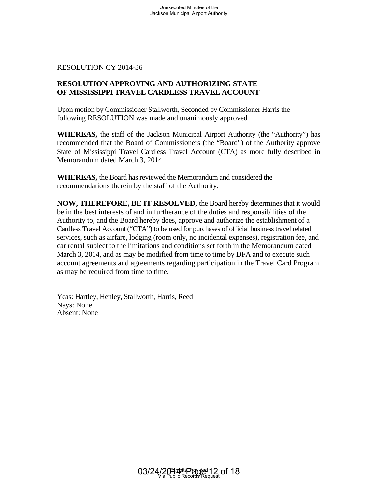#### **RESOLUTION APPROVING AND AUTHORIZING STATE OF MISSISSIPPI TRAVEL CARDLESS TRAVEL ACCOUNT**

Upon motion by Commissioner Stallworth, Seconded by Commissioner Harris the following RESOLUTION was made and unanimously approved

**WHEREAS,** the staff of the Jackson Municipal Airport Authority (the "Authority") has recommended that the Board of Commissioners (the "Board") of the Authority approve State of Mississippi Travel Cardless Travel Account (CTA) as more fully described in Memorandum dated March 3, 2014.

**WHEREAS,** the Board has reviewed the Memorandum and considered the recommendations therein by the staff of the Authority;

**NOW, THEREFORE, BE IT RESOLVED,** the Board hereby determines that it would be in the best interests of and in furtherance of the duties and responsibilities of the Authority to, and the Board hereby does, approve and authorize the establishment of a Cardless Travel Account ("CTA") to be used for purchases of official business travel related services, such as airfare, lodging (room only, no incidental expenses), registration fee, and car rental sublect to the limitations and conditions set forth in the Memorandum dated March 3, 2014, and as may be modified from time to time by DFA and to execute such account agreements and agreements regarding participation in the Travel Card Program as may be required from time to time. Unexecuted Minutes of the<br>
Jackson Municipal Airport Authority<br>
Jackson Municipal Airport Authority<br>
TEL CARDLESS TRAVEL ACCO<br>
ner Stallworth, Seconded by Commi<br>
was made and unanimously approve<br>
the Jackson Municipal Airp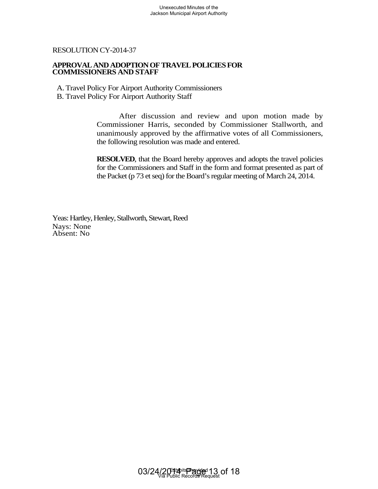#### **APPROVAL AND ADOPTION OF TRAVEL POLICIES FOR COMMISSIONERS AND STAFF**

A. Travel Policy For Airport Authority Commissioners B. Travel Policy For Airport Authority Staff

After discussion and review and upon motion made by Commissioner Harris, seconded by Commissioner Stallworth, and unanimously approved by the affirmative votes of all Commissioners, the following resolution was made and entered. Unexecuted Minutes of the<br>
Jackson Municipal Airport Authority<br> **ON OF TRAVEL POLICIES FOR**<br> **TAFF**<br>
rt Authority Commissioners<br>
and Training and Training and Training and Authority Staff<br>
discussion and Training and Accor

**RESOLVED**, that the Board hereby approves and adopts the travel policies for the Commissioners and Staff in the form and format presented as part of the Packet (p 73 et seq) for the Board's regular meeting of March 24, 2014.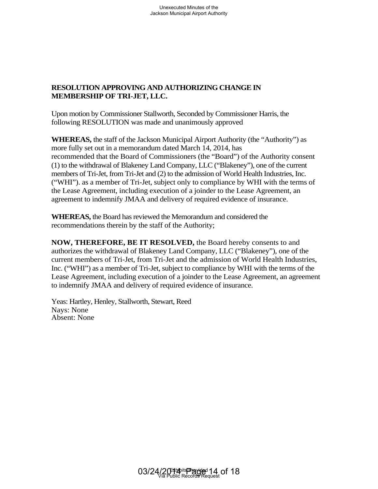## **RESOLUTION APPROVING AND AUTHORIZING CHANGE IN MEMBERSHIP OF TRI-JET, LLC.**

Upon motion by Commissioner Stallworth, Seconded by Commissioner Harris, the following RESOLUTION was made and unanimously approved

**WHEREAS,** the staff of the Jackson Municipal Airport Authority (the "Authority") as more fully set out in a memorandum dated March 14, 2014, has recommended that the Board of Commissioners (the "Board") of the Authority consent (1) to the withdrawal of Blakeney Land Company, LLC ("Blakeney"), one of the current members of Tri-Jet, from Tri-Jet and (2) to the admission of World Health Industries, Inc. ("WHI"). as a member of Tri-Jet, subject only to compliance by WHI with the terms of the Lease Agreement, including execution of a joinder to the Lease Agreement, an agreement to indemnify JMAA and delivery of required evidence of insurance. Unexecuted Minutes of the<br>
Jackson Municipal Airport Authority<br>
ET, LLC.<br>
FT, LLC.<br>
FT, LLC.<br>
FT, LLC.<br>
TEX Stallworth, Seconded by Commission and and unanimously approve<br>
Jackson Municipal Airport Authority<br>
In the Commis

**WHEREAS,** the Board has reviewed the Memorandum and considered the recommendations therein by the staff of the Authority;

**NOW, THEREFORE, BE IT RESOLVED,** the Board hereby consents to and authorizes the withdrawal of Blakeney Land Company, LLC ("Blakeney"), one of the current members of Tri-Jet, from Tri-Jet and the admission of World Health Industries, Inc. ("WHI") as a member of Tri-Jet, subject to compliance by WHI with the terms of the Lease Agreement, including execution of a joinder to the Lease Agreement, an agreement to indemnify JMAA and delivery of required evidence of insurance.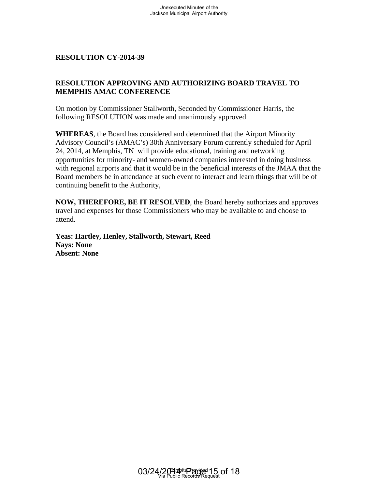## **RESOLUTION APPROVING AND AUTHORIZING BOARD TRAVEL TO MEMPHIS AMAC CONFERENCE**

On motion by Commissioner Stallworth, Seconded by Commissioner Harris, the following RESOLUTION was made and unanimously approved

**WHEREAS**, the Board has considered and determined that the Airport Minority Advisory Council's (AMAC's) 30th Anniversary Forum currently scheduled for April 24, 2014, at Memphis, TN will provide educational, training and networking opportunities for minority- and women-owned companies interested in doing business with regional airports and that it would be in the beneficial interests of the JMAA that the Board members be in attendance at such event to interact and learn things that will be of continuing benefit to the Authority, Unexecuted Minutes of the<br>
Jackson Municipal Airport Authority<br>
39<br> **ING AND AUTHORIZING BO**<br>
2015<br>
TRENCE<br>
FINENCE<br>
Triangle and unanimously approver<br>
considered and determined that the<br>
25, 30th Anniversary Forum curre<br>

**NOW, THEREFORE, BE IT RESOLVED**, the Board hereby authorizes and approves travel and expenses for those Commissioners who may be available to and choose to attend.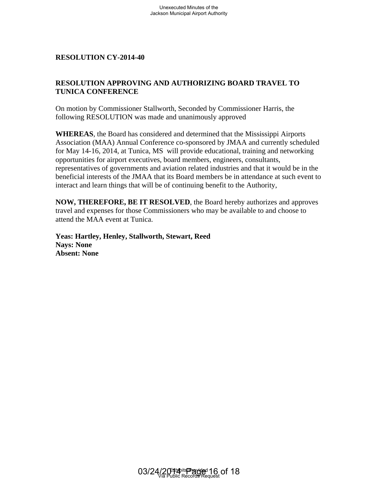## **RESOLUTION APPROVING AND AUTHORIZING BOARD TRAVEL TO TUNICA CONFERENCE**

On motion by Commissioner Stallworth, Seconded by Commissioner Harris, the following RESOLUTION was made and unanimously approved

**WHEREAS**, the Board has considered and determined that the Mississippi Airports Association (MAA) Annual Conference co-sponsored by JMAA and currently scheduled for May 14-16, 2014, at Tunica, MS will provide educational, training and networking opportunities for airport executives, board members, engineers, consultants, representatives of governments and aviation related industries and that it would be in the beneficial interests of the JMAA that its Board members be in attendance at such event to interact and learn things that will be of continuing benefit to the Authority, Unexecuted Minutes of the<br>
Jackson Municipal Airport Authority<br>
17 Stallworth, Seconded by Commi<br>
24 are Stallworth, Seconded by Comminum<br>
24 are and unanimously approver<br>
considered and determined that the<br>
Conference co-

**NOW, THEREFORE, BE IT RESOLVED**, the Board hereby authorizes and approves travel and expenses for those Commissioners who may be available to and choose to attend the MAA event at Tunica.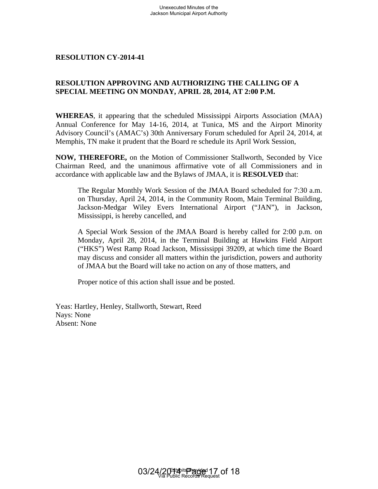### **RESOLUTION APPROVING AND AUTHORIZING THE CALLING OF A SPECIAL MEETING ON MONDAY, APRIL 28, 2014, AT 2:00 P.M.**

**WHEREAS**, it appearing that the scheduled Mississippi Airports Association (MAA) Annual Conference for May 14-16, 2014, at Tunica, MS and the Airport Minority Advisory Council's (AMAC's) 30th Anniversary Forum scheduled for April 24, 2014, at Memphis, TN make it prudent that the Board re schedule its April Work Session,

**NOW, THEREFORE,** on the Motion of Commissioner Stallworth, Seconded by Vice Chairman Reed, and the unanimous affirmative vote of all Commissioners and in accordance with applicable law and the Bylaws of JMAA, it is **RESOLVED** that:

The Regular Monthly Work Session of the JMAA Board scheduled for 7:30 a.m. on Thursday, April 24, 2014, in the Community Room, Main Terminal Building, Jackson-Medgar Wiley Evers International Airport ("JAN"), in Jackson, Mississippi, is hereby cancelled, and

A Special Work Session of the JMAA Board is hereby called for 2:00 p.m. on Monday, April 28, 2014, in the Terminal Building at Hawkins Field Airport ("HKS") West Ramp Road Jackson, Mississippi 39209, at which time the Board may discuss and consider all matters within the jurisdiction, powers and authority of JMAA but the Board will take no action on any of those matters, and Unexecuted Minutes of the<br>
Jackson Municipal Airport Authority<br>
11<br>
11<br>
103<br>
103 AD AUTHORIZING THI<br>
100NDAY, APRIL 28, 2014, AT<br>
11<br>
23, 2014, AT<br>
23, 2014, AT<br>
23, 2014, AT<br>
23, 2014, at Tunica, MS<br>
25<br>
25 30th Anniversa

Proper notice of this action shall issue and be posted.